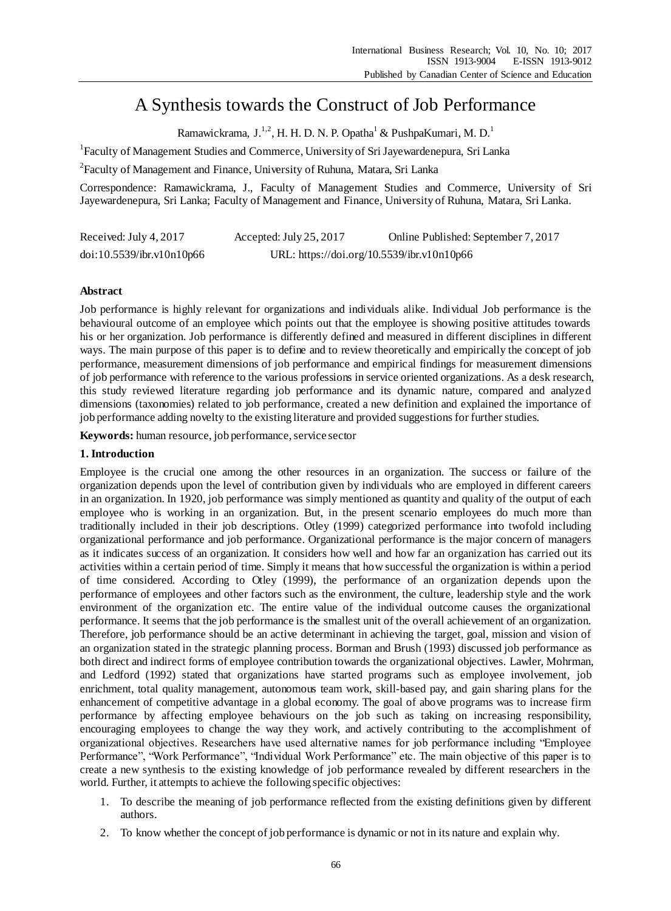# A Synthesis towards the Construct of Job Performance

Ramawickrama, J.<sup>1,2</sup>, H. H. D. N. P. Opatha<sup>1</sup> & PushpaKumari, M. D.<sup>1</sup>

<sup>1</sup> Faculty of Management Studies and Commerce, University of Sri Jayewardenepura, Sri Lanka

<sup>2</sup> Faculty of Management and Finance, University of Ruhuna, Matara, Sri Lanka

Correspondence: Ramawickrama, J., Faculty of Management Studies and Commerce, University of Sri Jayewardenepura, Sri Lanka; Faculty of Management and Finance, University of Ruhuna, Matara, Sri Lanka.

| Received: July 4, 2017    | Accepted: July 25, 2017 | Online Published: September 7, 2017        |
|---------------------------|-------------------------|--------------------------------------------|
| doi:10.5539/ibr.v10n10p66 |                         | URL: https://doi.org/10.5539/ibr.v10n10p66 |

# **Abstract**

Job performance is highly relevant for organizations and individuals alike. Individual Job performance is the behavioural outcome of an employee which points out that the employee is showing positive attitudes towards his or her organization. Job performance is differently defined and measured in different disciplines in different ways. The main purpose of this paper is to define and to review theoretically and empirically the concept of job performance, measurement dimensions of job performance and empirical findings for measurement dimensions of job performance with reference to the various professions in service oriented organizations. As a desk research, this study reviewed literature regarding job performance and its dynamic nature, compared and analyzed dimensions (taxonomies) related to job performance, created a new definition and explained the importance of job performance adding novelty to the existing literature and provided suggestions for further studies.

**Keywords:** human resource, job performance, service sector

# **1. Introduction**

Employee is the crucial one among the other resources in an organization. The success or failure of the organization depends upon the level of contribution given by individuals who are employed in different careers in an organization. In 1920, job performance was simply mentioned as quantity and quality of the output of each employee who is working in an organization. But, in the present scenario employees do much more than traditionally included in their job descriptions. Otley (1999) categorized performance into twofold including organizational performance and job performance. Organizational performance is the major concern of managers as it indicates success of an organization. It considers how well and how far an organization has carried out its activities within a certain period of time. Simply it means that how successful the organization is within a period of time considered. According to Otley (1999), the performance of an organization depends upon the performance of employees and other factors such as the environment, the culture, leadership style and the work environment of the organization etc. The entire value of the individual outcome causes the organizational performance. It seems that the job performance is the smallest unit of the overall achievement of an organization. Therefore, job performance should be an active determinant in achieving the target, goal, mission and vision of an organization stated in the strategic planning process. Borman and Brush (1993) discussed job performance as both direct and indirect forms of employee contribution towards the organizational objectives. Lawler, Mohrman, and Ledford (1992) stated that organizations have started programs such as employee involvement, job enrichment, total quality management, autonomous team work, skill-based pay, and gain sharing plans for the enhancement of competitive advantage in a global economy. The goal of above programs was to increase firm performance by affecting employee behaviours on the job such as taking on increasing responsibility, encouraging employees to change the way they work, and actively contributing to the accomplishment of organizational objectives. Researchers have used alternative names for job performance including "Employee Performance", "Work Performance", "Individual Work Performance" etc. The main objective of this paper is to create a new synthesis to the existing knowledge of job performance revealed by different researchers in the world. Further, it attempts to achieve the following specific objectives:

- 1. To describe the meaning of job performance reflected from the existing definitions given by different authors.
- 2. To know whether the concept of job performance is dynamic or not in its nature and explain why.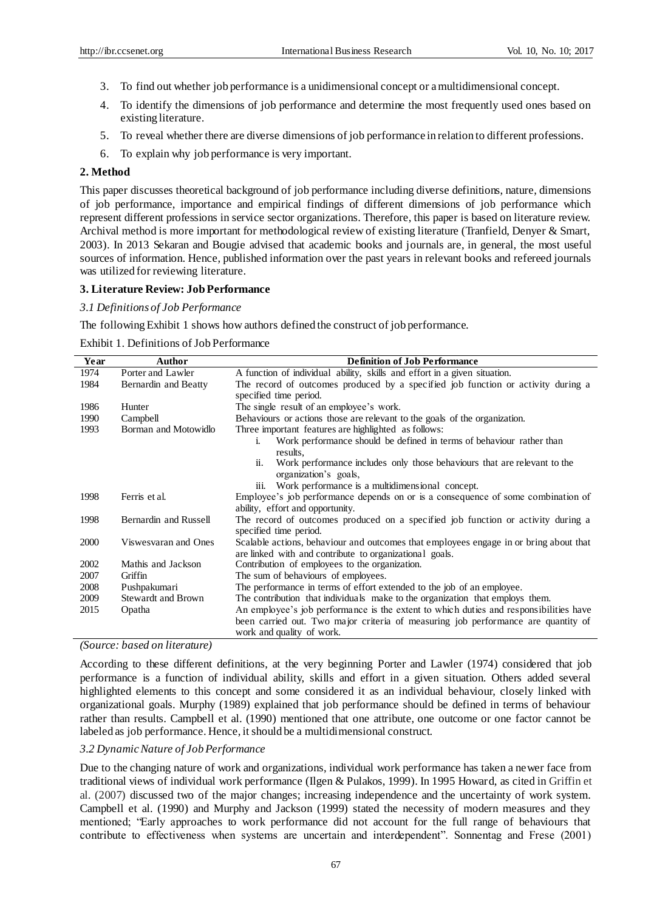- 3. To find out whether job performance is a unidimensional concept or a multidimensional concept.
- 4. To identify the dimensions of job performance and determine the most frequently used ones based on existing literature.
- 5. To reveal whether there are diverse dimensions of job performance in relation to different professions.
- 6. To explain why job performance is very important.

#### **2. Method**

This paper discusses theoretical background of job performance including diverse definitions, nature, dimensions of job performance, importance and empirical findings of different dimensions of job performance which represent different professions in service sector organizations. Therefore, this paper is based on literature review. Archival method is more important for methodological review of existing literature (Tranfield, Denyer & Smart, 2003). In 2013 Sekaran and Bougie advised that academic books and journals are, in general, the most useful sources of information. Hence, published information over the past years in relevant books and refereed journals was utilized for reviewing literature.

## **3. Literature Review: Job Performance**

#### *3.1 Definitions of Job Performance*

The following Exhibit 1 shows how authors defined the construct of job performance.

Exhibit 1. Definitions of Job Performance

| Year | Author                    | <b>Definition of Job Performance</b>                                                  |
|------|---------------------------|---------------------------------------------------------------------------------------|
| 1974 | Porter and Lawler         | A function of individual ability, skills and effort in a given situation.             |
| 1984 | Bernardin and Beatty      | The record of outcomes produced by a specified job function or activity during a      |
|      |                           | specified time period.                                                                |
| 1986 | Hunter                    | The single result of an employee's work.                                              |
| 1990 | Campbell                  | Behaviours or actions those are relevant to the goals of the organization.            |
| 1993 | Borman and Motowidlo      | Three important features are highlighted as follows:                                  |
|      |                           | Work performance should be defined in terms of behaviour rather than<br>i.            |
|      |                           | results.                                                                              |
|      |                           | ii.<br>Work performance includes only those behaviours that are relevant to the       |
|      |                           | organization's goals,                                                                 |
|      |                           | Work performance is a multidimensional concept.<br>iii.                               |
| 1998 | Ferris et al.             | Employee's job performance depends on or is a consequence of some combination of      |
|      |                           | ability, effort and opportunity.                                                      |
| 1998 | Bernardin and Russell     | The record of outcomes produced on a specified job function or activity during a      |
|      |                           | specified time period.                                                                |
| 2000 | Viswesvaran and Ones      | Scalable actions, behaviour and outcomes that employees engage in or bring about that |
|      |                           | are linked with and contribute to organizational goals.                               |
| 2002 | Mathis and Jackson        | Contribution of employees to the organization.                                        |
| 2007 | Griffin                   | The sum of behaviours of employees.                                                   |
| 2008 | Pushpakumari              | The performance in terms of effort extended to the job of an employee.                |
| 2009 | <b>Stewardt and Brown</b> | The contribution that individuals make to the organization that employs them.         |
| 2015 | Opatha                    | An employee's job performance is the extent to which duties and responsibilities have |
|      |                           | been carried out. Two major criteria of measuring job performance are quantity of     |
|      |                           | work and quality of work.                                                             |

## *(Source: based on literature)*

According to these different definitions, at the very beginning Porter and Lawler (1974) considered that job performance is a function of individual ability, skills and effort in a given situation. Others added several highlighted elements to this concept and some considered it as an individual behaviour, closely linked with organizational goals. Murphy (1989) explained that job performance should be defined in terms of behaviour rather than results. Campbell et al. (1990) mentioned that one attribute, one outcome or one factor cannot be labeled as job performance. Hence, it should be a multidimensional construct.

#### *3.2 Dynamic Nature of Job Performance*

Due to the changing nature of work and organizations, individual work performance has taken a newer face from traditional views of individual work performance (Ilgen & Pulakos, 1999). In 1995 Howard, as cited in Griffin et al. (2007) discussed two of the major changes; increasing independence and the uncertainty of work system. Campbell et al. (1990) and Murphy and Jackson (1999) stated the necessity of modern measures and they mentioned; "Early approaches to work performance did not account for the full range of behaviours that contribute to effectiveness when systems are uncertain and interdependent". Sonnentag and Frese (2001)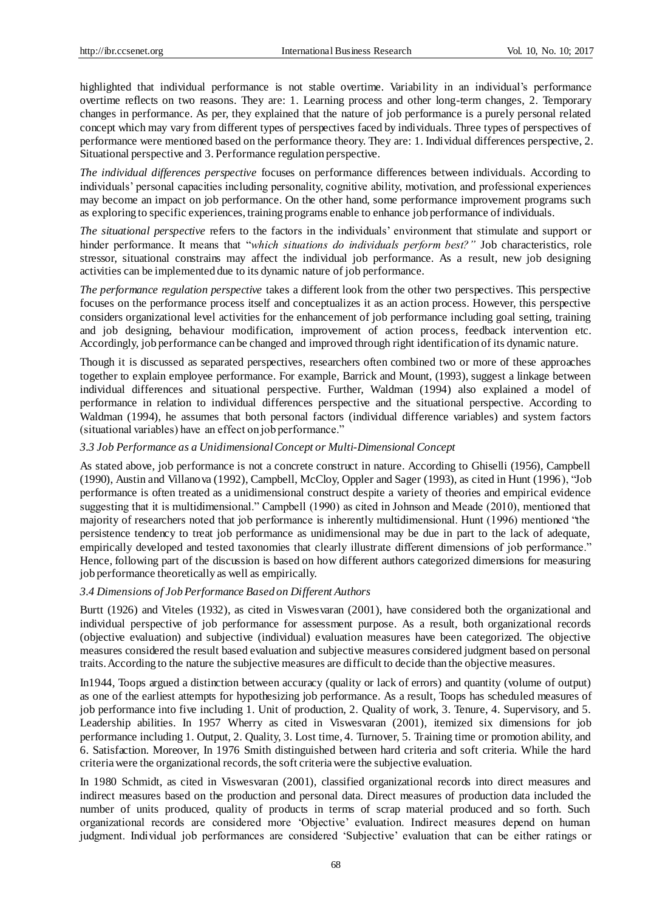highlighted that individual performance is not stable overtime. Variability in an individual's performance overtime reflects on two reasons. They are: 1. Learning process and other long-term changes, 2. Temporary changes in performance. As per, they explained that the nature of job performance is a purely personal related concept which may vary from different types of perspectives faced by individuals. Three types of perspectives of performance were mentioned based on the performance theory. They are: 1. Individual differences perspective, 2. Situational perspective and 3. Performance regulation perspective.

*The individual differences perspective* focuses on performance differences between individuals. According to individuals' personal capacities including personality, cognitive ability, motivation, and professional experiences may become an impact on job performance. On the other hand, some performance improvement programs such as exploring to specific experiences, training programs enable to enhance job performance of individuals.

*The situational perspective* refers to the factors in the individuals' environment that stimulate and support or hinder performance. It means that "*which situations do individuals perform best?*" Job characteristics, role stressor, situational constrains may affect the individual job performance. As a result, new job designing activities can be implemented due to its dynamic nature of job performance.

*The performance regulation perspective* takes a different look from the other two perspectives. This perspective focuses on the performance process itself and conceptualizes it as an action process. However, this perspective considers organizational level activities for the enhancement of job performance including goal setting, training and job designing, behaviour modification, improvement of action process, feedback intervention etc. Accordingly, job performance can be changed and improved through right identification of its dynamic nature.

Though it is discussed as separated perspectives, researchers often combined two or more of these approaches together to explain employee performance. For example, Barrick and Mount, (1993), suggest a linkage between individual differences and situational perspective. Further, Waldman (1994) also explained a model of performance in relation to individual differences perspective and the situational perspective. According to Waldman (1994), he assumes that both personal factors (individual difference variables) and system factors (situational variables) have an effect on job performance."

# *3.3 Job Performance as a Unidimensional Concept or Multi-Dimensional Concept*

As stated above, job performance is not a concrete construct in nature. According to Ghiselli (1956), Campbell (1990), Austin and Villanova (1992), Campbell, McCloy, Oppler and Sager (1993), as cited in Hunt (1996), "Job performance is often treated as a unidimensional construct despite a variety of theories and empirical evidence suggesting that it is multidimensional." Campbell (1990) as cited in Johnson and Meade (2010), mentioned that majority of researchers noted that job performance is inherently multidimensional. Hunt (1996) mentioned "the persistence tendency to treat job performance as unidimensional may be due in part to the lack of adequate, empirically developed and tested taxonomies that clearly illustrate different dimensions of job performance." Hence, following part of the discussion is based on how different authors categorized dimensions for measuring job performance theoretically as well as empirically.

# *3.4 Dimensions of Job Performance Based on Different Authors*

Burtt (1926) and Viteles (1932), as cited in Viswesvaran (2001), have considered both the organizational and individual perspective of job performance for assessment purpose. As a result, both organizational records (objective evaluation) and subjective (individual) evaluation measures have been categorized. The objective measures considered the result based evaluation and subjective measures considered judgment based on personal traits.According to the nature the subjective measures are difficult to decide than the objective measures.

In1944, Toops argued a distinction between accuracy (quality or lack of errors) and quantity (volume of output) as one of the earliest attempts for hypothesizing job performance. As a result, Toops has scheduled measures of job performance into five including 1. Unit of production, 2. Quality of work, 3. Tenure, 4. Supervisory, and 5. Leadership abilities. In 1957 Wherry as cited in Viswesvaran (2001), itemized six dimensions for job performance including 1. Output, 2. Quality, 3. Lost time, 4. Turnover, 5. Training time or promotion ability, and 6. Satisfaction. Moreover, In 1976 Smith distinguished between hard criteria and soft criteria. While the hard criteria were the organizational records, the soft criteria were the subjective evaluation.

In 1980 Schmidt, as cited in Viswesvaran (2001), classified organizational records into direct measures and indirect measures based on the production and personal data. Direct measures of production data included the number of units produced, quality of products in terms of scrap material produced and so forth. Such organizational records are considered more 'Objective' evaluation. Indirect measures depend on human judgment. Individual job performances are considered 'Subjective' evaluation that can be either ratings or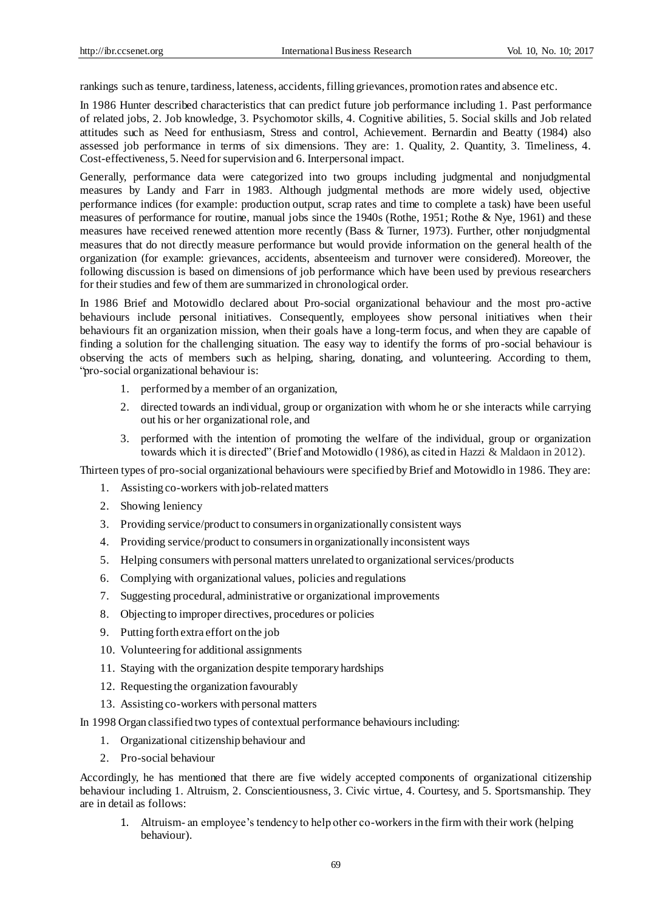rankings such as tenure, tardiness, lateness, accidents, filling grievances, promotion rates and absence etc.

In 1986 Hunter described characteristics that can predict future job performance including 1. Past performance of related jobs, 2. Job knowledge, 3. Psychomotor skills, 4. Cognitive abilities, 5. Social skills and Job related attitudes such as Need for enthusiasm, Stress and control, Achievement. Bernardin and Beatty (1984) also assessed job performance in terms of six dimensions. They are: 1. Quality, 2. Quantity, 3. Timeliness, 4. Cost-effectiveness, 5. Need for supervision and 6. Interpersonal impact.

Generally, performance data were categorized into two groups including judgmental and nonjudgmental measures by Landy and Farr in 1983. Although judgmental methods are more widely used, objective performance indices (for example: production output, scrap rates and time to complete a task) have been useful measures of performance for routine, manual jobs since the 1940s (Rothe, 1951; Rothe & Nye, 1961) and these measures have received renewed attention more recently (Bass & Turner, 1973). Further, other nonjudgmental measures that do not directly measure performance but would provide information on the general health of the organization (for example: grievances, accidents, absenteeism and turnover were considered). Moreover, the following discussion is based on dimensions of job performance which have been used by previous researchers for their studies and few of them are summarized in chronological order.

In 1986 Brief and Motowidlo declared about Pro-social organizational behaviour and the most pro-active behaviours include personal initiatives. Consequently, employees show personal initiatives when their behaviours fit an organization mission, when their goals have a long-term focus, and when they are capable of finding a solution for the challenging situation. The easy way to identify the forms of pro-social behaviour is observing the acts of members such as helping, sharing, donating, and volunteering. According to them, "pro-social organizational behaviour is:

- 1. performed by a member of an organization,
- 2. directed towards an individual, group or organization with whom he or she interacts while carrying out his or her organizational role, and
- 3. performed with the intention of promoting the welfare of the individual, group or organization towards which it is directed" (Brief and Motowidlo (1986), as cited in Hazzi & Maldaon in 2012).

Thirteen types of pro-social organizational behaviours were specified by Brief and Motowidlo in 1986. They are:

- 1. Assisting co-workers with job-related matters
- 2. Showing leniency
- 3. Providing service/product to consumers in organizationally consistent ways
- 4. Providing service/product to consumers in organizationally inconsistent ways
- 5. Helping consumers with personal matters unrelated to organizational services/products
- 6. Complying with organizational values, policies and regulations
- 7. Suggesting procedural, administrative or organizational improvements
- 8. Objecting to improper directives, procedures or policies
- 9. Putting forth extra effort on the job
- 10. Volunteering for additional assignments
- 11. Staying with the organization despite temporary hardships
- 12. Requesting the organization favourably
- 13. Assisting co-workers with personal matters

In 1998 Organ classified two types of contextual performance behaviours including:

- 1. Organizational citizenship behaviour and
- 2. Pro-social behaviour

Accordingly, he has mentioned that there are five widely accepted components of organizational citizenship behaviour including 1. Altruism, 2. Conscientiousness, 3. Civic virtue, 4. Courtesy, and 5. Sportsmanship. They are in detail as follows:

1. Altruism- an employee's tendency to help other co-workers in the firm with their work (helping behaviour).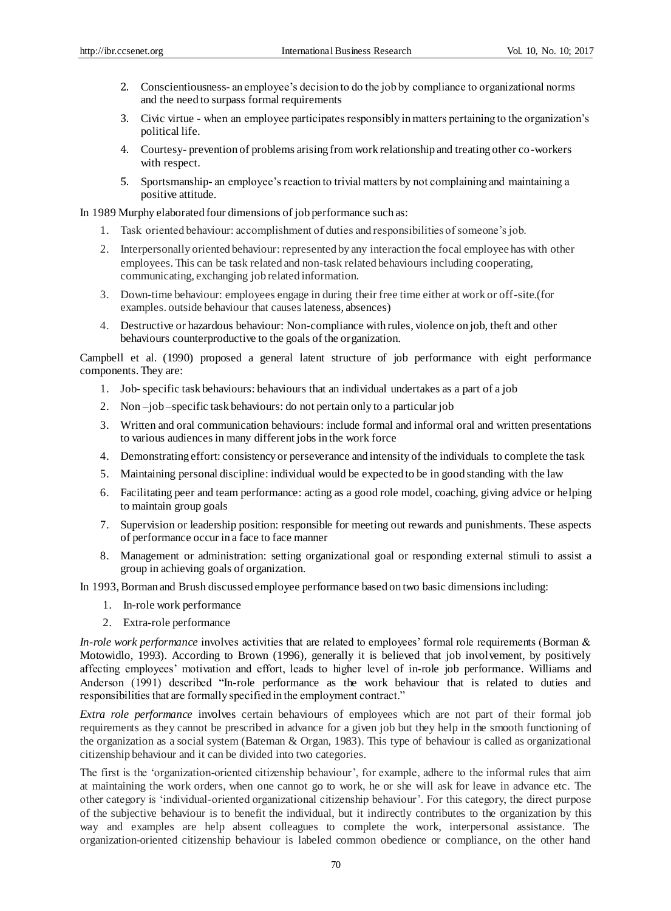- 2. Conscientiousness- an employee's decision to do the job by compliance to organizational norms and the need to surpass formal requirements
- 3. Civic virtue when an employee participates responsibly in matters pertaining to the organization's political life.
- 4. Courtesy- prevention of problems arising from work relationship and treating other co-workers with respect.
- 5. Sportsmanship- an employee's reaction to trivial matters by not complaining and maintaining a positive attitude.

In 1989 Murphy elaborated four dimensions of job performance such as:

- 1. Task oriented behaviour: accomplishment of duties and responsibilities of someone's job.
- 2. Interpersonally oriented behaviour: represented by any interaction the focal employee has with other employees. This can be task related and non-task related behaviours including cooperating, communicating, exchanging job related information.
- 3. Down-time behaviour: employees engage in during their free time either at work or off-site.(for examples. outside behaviour that causes lateness, absences)
- 4. Destructive or hazardous behaviour: Non-compliance with rules, violence on job, theft and other behaviours counterproductive to the goals of the organization.

Campbell et al. (1990) proposed a general latent structure of job performance with eight performance components. They are:

- 1. Job- specific task behaviours: behaviours that an individual undertakes as a part of a job
- 2. Non –job –specific task behaviours: do not pertain only to a particular job
- 3. Written and oral communication behaviours: include formal and informal oral and written presentations to various audiences in many different jobs in the work force
- 4. Demonstrating effort: consistency or perseverance and intensity of the individuals to complete the task
- 5. Maintaining personal discipline: individual would be expected to be in good standing with the law
- 6. Facilitating peer and team performance: acting as a good role model, coaching, giving advice or helping to maintain group goals
- 7. Supervision or leadership position: responsible for meeting out rewards and punishments. These aspects of performance occur in a face to face manner
- 8. Management or administration: setting organizational goal or responding external stimuli to assist a group in achieving goals of organization.

In 1993, Borman and Brush discussed employee performance based on two basic dimensions including:

- 1. In-role work performance
- 2. Extra-role performance

*In-role work performance* involves activities that are related to employees' formal role requirements (Borman & Motowidlo, 1993). According to Brown (1996), generally it is believed that job involvement, by positively affecting employees' motivation and effort, leads to higher level of in-role job performance. Williams and Anderson (1991) described "In-role performance as the work behaviour that is related to duties and responsibilities that are formally specified in the employment contract."

*Extra role performance* involves certain behaviours of employees which are not part of their formal job requirements as they cannot be prescribed in advance for a given job but they help in the smooth functioning of the organization as a social system (Bateman & Organ, 1983). This type of behaviour is called as organizational citizenship behaviour and it can be divided into two categories.

The first is the 'organization-oriented citizenship behaviour', for example, adhere to the informal rules that aim at maintaining the work orders, when one cannot go to work, he or she will ask for leave in advance etc. The other category is 'individual-oriented organizational citizenship behaviour'. For this category, the direct purpose of the subjective behaviour is to benefit the individual, but it indirectly contributes to the organization by this way and examples are help absent colleagues to complete the work, interpersonal assistance. The organization-oriented citizenship behaviour is labeled common obedience or compliance, on the other hand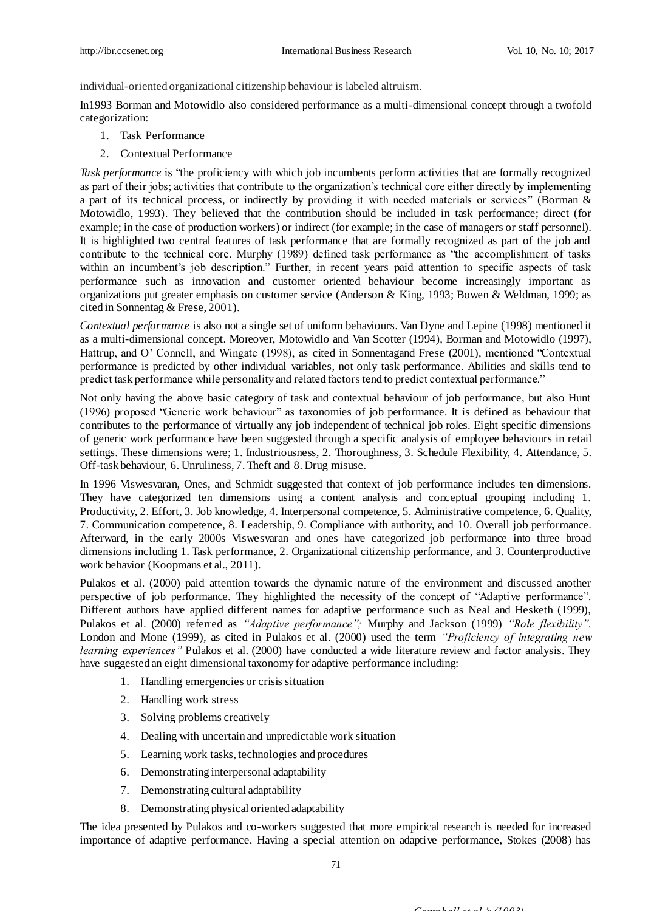individual-oriented organizational citizenship behaviour is labeled altruism.

In1993 Borman and Motowidlo also considered performance as a multi-dimensional concept through a twofold categorization:

- 1. Task Performance
- 2. Contextual Performance

*Task performance* is "the proficiency with which job incumbents perform activities that are formally recognized as part of their jobs; activities that contribute to the organization's technical core either directly by implementing a part of its technical process, or indirectly by providing it with needed materials or services" (Borman & Motowidlo, 1993). They believed that the contribution should be included in task performance; direct (for example; in the case of production workers) or indirect (for example; in the case of managers or staff personnel). It is highlighted two central features of task performance that are formally recognized as part of the job and contribute to the technical core. Murphy (1989) defined task performance as "the accomplishment of tasks within an incumbent's job description." Further, in recent years paid attention to specific aspects of task performance such as innovation and customer oriented behaviour become increasingly important as organizations put greater emphasis on customer service (Anderson & King, 1993; Bowen & Weldman, 1999; as cited in Sonnentag & Frese, 2001).

*Contextual performance* is also not a single set of uniform behaviours. Van Dyne and Lepine (1998) mentioned it as a multi-dimensional concept. Moreover, Motowidlo and Van Scotter (1994), Borman and Motowidlo (1997), Hattrup, and O' Connell, and Wingate (1998), as cited in Sonnentagand Frese (2001), mentioned "Contextual performance is predicted by other individual variables, not only task performance. Abilities and skills tend to predict task performance while personality and related factors tend to predict contextual performance."

Not only having the above basic category of task and contextual behaviour of job performance, but also Hunt (1996) proposed "Generic work behaviour" as taxonomies of job performance. It is defined as behaviour that contributes to the performance of virtually any job independent of technical job roles. Eight specific dimensions of generic work performance have been suggested through a specific analysis of employee behaviours in retail settings. These dimensions were; 1. Industriousness, 2. Thoroughness, 3. Schedule Flexibility, 4. Attendance, 5. Off-task behaviour, 6. Unruliness, 7. Theft and 8. Drug misuse.

In 1996 Viswesvaran, Ones, and Schmidt suggested that context of job performance includes ten dimensions. They have categorized ten dimensions using a content analysis and conceptual grouping including 1. Productivity, 2. Effort, 3. Job knowledge, 4. Interpersonal competence, 5. Administrative competence, 6. Quality, 7. Communication competence, 8. Leadership, 9. Compliance with authority, and 10. Overall job performance. Afterward, in the early 2000s Viswesvaran and ones have categorized job performance into three broad dimensions including 1. Task performance, 2. Organizational citizenship performance, and 3. Counterproductive work behavior (Koopmans et al., 2011).

Pulakos et al. (2000) paid attention towards the dynamic nature of the environment and discussed another perspective of job performance. They highlighted the necessity of the concept of "Adaptive performance". Different authors have applied different names for adaptive performance such as Neal and Hesketh (1999), Pulakos et al. (2000) referred as *"Adaptive performance";* Murphy and Jackson (1999) *"Role flexibility".*  London and Mone (1999), as cited in Pulakos et al. (2000) used the term *"Proficiency of integrating new learning experiences*" Pulakos et al. (2000) have conducted a wide literature review and factor analysis. They have suggested an eight dimensional taxonomy for adaptive performance including:

- 1. Handling emergencies or crisis situation
- 2. Handling work stress
- 3. Solving problems creatively
- 4. Dealing with uncertain and unpredictable work situation
- 5. Learning work tasks, technologies and procedures
- 6. Demonstrating interpersonal adaptability
- 7. Demonstrating cultural adaptability
- 8. Demonstrating physical oriented adaptability

The idea presented by Pulakos and co-workers suggested that more empirical research is needed for increased importance of adaptive performance. Having a special attention on adaptive performance, Stokes (2008) has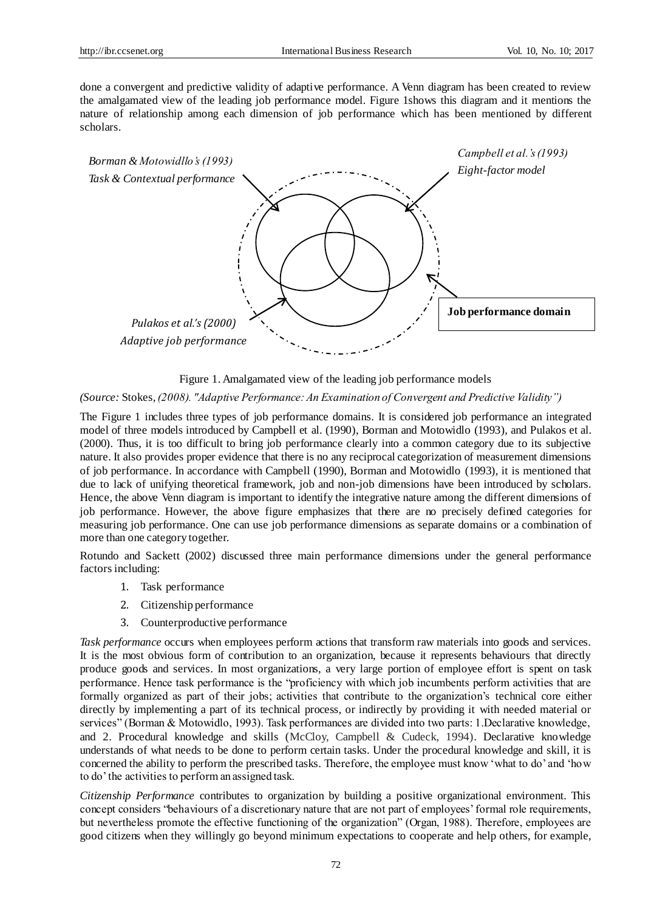done a convergent and predictive validity of adaptive performance. A Venn diagram has been created to review the amalgamated view of the leading job performance model. Figure 1shows this diagram and it mentions the nature of relationship among each dimension of job performance which has been mentioned by different scholars.



Figure 1. Amalgamated view of the leading job performance models

*(Source:* Stokes, *(2008). "Adaptive Performance: An Examination of Convergent and Predictive Validity")*

The Figure 1 includes three types of job performance domains. It is considered job performance an integrated model of three models introduced by Campbell et al. (1990), Borman and Motowidlo (1993), and Pulakos et al. (2000). Thus, it is too difficult to bring job performance clearly into a common category due to its subjective nature. It also provides proper evidence that there is no any reciprocal categorization of measurement dimensions of job performance. In accordance with Campbell (1990), Borman and Motowidlo (1993), it is mentioned that due to lack of unifying theoretical framework, job and non-job dimensions have been introduced by scholars. Hence, the above Venn diagram is important to identify the integrative nature among the different dimensions of job performance. However, the above figure emphasizes that there are no precisely defined categories for measuring job performance. One can use job performance dimensions as separate domains or a combination of more than one category together.

Rotundo and Sackett (2002) discussed three main performance dimensions under the general performance factors including:

- 1. Task performance
- 2. Citizenship performance
- 3. Counterproductive performance

*Task performance* occurs when employees perform actions that transform raw materials into goods and services. It is the most obvious form of contribution to an organization, because it represents behaviours that directly produce goods and services. In most organizations, a very large portion of employee effort is spent on task performance. Hence task performance is the "proficiency with which job incumbents perform activities that are formally organized as part of their jobs; activities that contribute to the organization's technical core either directly by implementing a part of its technical process, or indirectly by providing it with needed material or services" (Borman & Motowidlo, 1993). Task performances are divided into two parts: 1.Declarative knowledge, and 2. Procedural knowledge and skills (McCloy, Campbell & Cudeck, 1994). Declarative knowledge understands of what needs to be done to perform certain tasks. Under the procedural knowledge and skill, it is concerned the ability to perform the prescribed tasks. Therefore, the employee must know 'what to do' and 'how to do' the activities to perform an assigned task.

*Citizenship Performance* contributes to organization by building a positive organizational environment. This concept considers "behaviours of a discretionary nature that are not part of employees' formal role requirements, but nevertheless promote the effective functioning of the organization" (Organ, 1988). Therefore, employees are good citizens when they willingly go beyond minimum expectations to cooperate and help others, for example,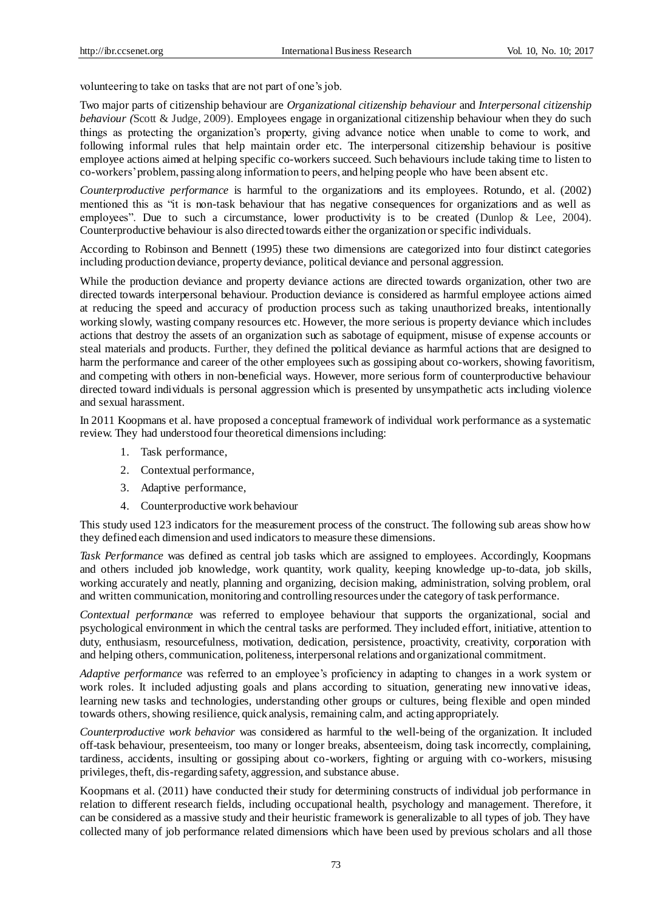volunteering to take on tasks that are not part of one's job.

Two major parts of citizenship behaviour are *Organizational citizenship behaviour* and *Interpersonal citizenship behaviour (*Scott & Judge, 2009). Employees engage in organizational citizenship behaviour when they do such things as protecting the organization's property, giving advance notice when unable to come to work, and following informal rules that help maintain order etc. The interpersonal citizenship behaviour is positive employee actions aimed at helping specific co-workers succeed. Such behaviours include taking time to listen to co-workers' problem, passing along information to peers, and helping people who have been absent etc.

*Counterproductive performance* is harmful to the organizations and its employees. Rotundo, et al. (2002) mentioned this as "it is non-task behaviour that has negative consequences for organizations and as well as employees". Due to such a circumstance, lower productivity is to be created (Dunlop & Lee, 2004). Counterproductive behaviour is also directed towards either the organization or specific individuals.

According to Robinson and Bennett (1995) these two dimensions are categorized into four distinct categories including production deviance, property deviance, political deviance and personal aggression.

While the production deviance and property deviance actions are directed towards organization, other two are directed towards interpersonal behaviour. Production deviance is considered as harmful employee actions aimed at reducing the speed and accuracy of production process such as taking unauthorized breaks, intentionally working slowly, wasting company resources etc. However, the more serious is property deviance which includes actions that destroy the assets of an organization such as sabotage of equipment, misuse of expense accounts or steal materials and products. Further, they defined the political deviance as harmful actions that are designed to harm the performance and career of the other employees such as gossiping about co-workers, showing favoritism, and competing with others in non-beneficial ways. However, more serious form of counterproductive behaviour directed toward individuals is personal aggression which is presented by unsympathetic acts including violence and sexual harassment.

In 2011 Koopmans et al. have proposed a conceptual framework of individual work performance as a systematic review. They had understood four theoretical dimensions including:

- 1. Task performance,
- 2. Contextual performance,
- 3. Adaptive performance,
- 4. Counterproductive work behaviour

This study used 123 indicators for the measurement process of the construct. The following sub areas show how they defined each dimension and used indicators to measure these dimensions.

*Task Performance* was defined as central job tasks which are assigned to employees. Accordingly, Koopmans and others included job knowledge, work quantity, work quality, keeping knowledge up-to-data, job skills, working accurately and neatly, planning and organizing, decision making, administration, solving problem, oral and written communication, monitoring and controlling resources under the category of task performance.

*Contextual performance* was referred to employee behaviour that supports the organizational, social and psychological environment in which the central tasks are performed. They included effort, initiative, attention to duty, enthusiasm, resourcefulness, motivation, dedication, persistence, proactivity, creativity, corporation with and helping others, communication, politeness, interpersonal relations and organizational commitment.

*Adaptive performance* was referred to an employee's proficiency in adapting to changes in a work system or work roles. It included adjusting goals and plans according to situation, generating new innovative ideas, learning new tasks and technologies, understanding other groups or cultures, being flexible and open minded towards others, showing resilience, quick analysis, remaining calm, and acting appropriately.

*Counterproductive work behavior* was considered as harmful to the well-being of the organization. It included off-task behaviour, presenteeism, too many or longer breaks, absenteeism, doing task incorrectly, complaining, tardiness, accidents, insulting or gossiping about co-workers, fighting or arguing with co-workers, misusing privileges, theft, dis-regarding safety, aggression, and substance abuse.

Koopmans et al. (2011) have conducted their study for determining constructs of individual job performance in relation to different research fields, including occupational health, psychology and management. Therefore, it can be considered as a massive study and their heuristic framework is generalizable to all types of job. They have collected many of job performance related dimensions which have been used by previous scholars and all those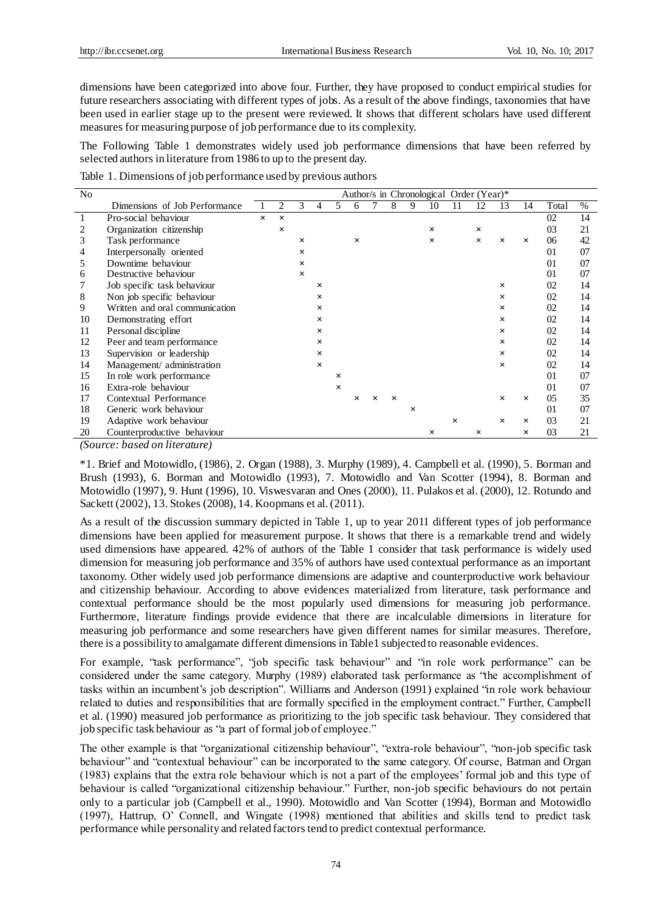dimensions have been categorized into above four. Further, they have proposed to conduct empirical studies for future researchers associating with different types of jobs. As a result of the above findings, taxonomies that have been used in earlier stage up to the present were reviewed. It shows that different scholars have used different measures for measuring purpose of job performance due to its complexity.

The Following Table 1 demonstrates widely used job performance dimensions that have been referred by selected authors in literature from 1986 to up to the present day.

| No |                                | Author/s in Chronological Order (Year)* |          |          |          |          |          |          |          |          |          |          |          |          |          |                |      |
|----|--------------------------------|-----------------------------------------|----------|----------|----------|----------|----------|----------|----------|----------|----------|----------|----------|----------|----------|----------------|------|
|    | Dimensions of Job Performance  |                                         | 2        | 3        | 4        | 5.       | 6        |          | 8        | 9        | 10       |          | 12       | 13       | 14       | Total          | $\%$ |
|    | Pro-social behaviour           | $\times$                                | $\times$ |          |          |          |          |          |          |          |          |          |          |          |          | 02             | 14   |
|    | Organization citizenship       |                                         | $\times$ |          |          |          |          |          |          |          | $\times$ |          | $\times$ |          |          | 03             | 21   |
| 3  | Task performance               |                                         |          | ×        |          |          | $\times$ |          |          |          | $\times$ |          | $\times$ | $\times$ | $\times$ | 06             | 42   |
| 4  | Interpersonally oriented       |                                         |          | ×        |          |          |          |          |          |          |          |          |          |          |          | 01             | 07   |
| 5  | Downtime behaviour             |                                         |          | $\times$ |          |          |          |          |          |          |          |          |          |          |          | $\Omega$       | 07   |
| 6  | Destructive behaviour          |                                         |          | $\times$ |          |          |          |          |          |          |          |          |          |          |          | 01             | 07   |
|    | Job specific task behaviour    |                                         |          |          | $\times$ |          |          |          |          |          |          |          |          | $\times$ |          | 02             | 14   |
| 8  | Non job specific behaviour     |                                         |          |          | $\times$ |          |          |          |          |          |          |          |          | $\times$ |          | 02             | 14   |
| 9  | Written and oral communication |                                         |          |          | $\times$ |          |          |          |          |          |          |          |          | $\times$ |          | 02             | 14   |
| 10 | Demonstrating effort           |                                         |          |          | $\times$ |          |          |          |          |          |          |          |          | $\times$ |          | 02             | 14   |
| 11 | Personal discipline            |                                         |          |          | $\times$ |          |          |          |          |          |          |          |          | $\times$ |          | 02             | 14   |
| 12 | Peer and team performance      |                                         |          |          | $\times$ |          |          |          |          |          |          |          |          | $\times$ |          | 02             | 14   |
| 13 | Supervision or leadership      |                                         |          |          | $\times$ |          |          |          |          |          |          |          |          | $\times$ |          | 02             | 14   |
| 14 | Management/ administration     |                                         |          |          | $\times$ |          |          |          |          |          |          |          |          | $\times$ |          | 02             | 14   |
| 15 | In role work performance       |                                         |          |          |          | $\times$ |          |          |          |          |          |          |          |          |          | 01             | 07   |
| 16 | Extra-role behaviour           |                                         |          |          |          | $\times$ |          |          |          |          |          |          |          |          |          | 01             | 07   |
| 17 | Contextual Performance         |                                         |          |          |          |          | $\times$ | $\times$ | $\times$ |          |          |          |          | $\times$ | $\times$ | 0 <sub>5</sub> | 35   |
| 18 | Generic work behaviour         |                                         |          |          |          |          |          |          |          | $\times$ |          |          |          |          |          | $_{01}$        | 07   |
| 19 | Adaptive work behaviour        |                                         |          |          |          |          |          |          |          |          |          | $\times$ |          | $\times$ | $\times$ | 03             | 21   |
| 20 | Counterproductive behaviour    |                                         |          |          |          |          |          |          |          |          | $\times$ |          | $\times$ |          | $\times$ | 03             | 21   |

Table 1. Dimensions of job performance used by previous authors

*(Source: based on literature)*

\*1. Brief and Motowidlo, (1986), 2. Organ (1988), 3. Murphy (1989), 4. Campbell et al. (1990), 5. Borman and Brush (1993), 6. Borman and Motowidlo (1993), 7. Motowidlo and Van Scotter (1994), 8. Borman and Motowidlo (1997), 9. Hunt (1996), 10. Viswesvaran and Ones (2000), 11. Pulakos et al. (2000), 12. Rotundo and Sackett (2002), 13. Stokes (2008), 14. Koopmans et al. (2011).

As a result of the discussion summary depicted in Table 1, up to year 2011 different types of job performance dimensions have been applied for measurement purpose. It shows that there is a remarkable trend and widely used dimensions have appeared. 42% of authors of the Table 1 consider that task performance is widely used dimension for measuring job performance and 35% of authors have used contextual performance as an important taxonomy. Other widely used job performance dimensions are adaptive and counterproductive work behaviour and citizenship behaviour. According to above evidences materialized from literature, task performance and contextual performance should be the most popularly used dimensions for measuring job performance. Furthermore, literature findings provide evidence that there are incalculable dimensions in literature for measuring job performance and some researchers have given different names for similar measures. Therefore, there is a possibility to amalgamate different dimensions in Table1 subjected to reasonable evidences.

For example, "task performance", "job specific task behaviour" and "in role work performance" can be considered under the same category. Murphy (1989) elaborated task performance as "the accomplishment of tasks within an incumbent's job description". Williams and Anderson (1991) explained "in role work behaviour related to duties and responsibilities that are formally specified in the employment contract." Further, Campbell et al. (1990) measured job performance as prioritizing to the job specific task behaviour. They considered that job specific task behaviour as "a part of formal job of employee."

The other example is that "organizational citizenship behaviour", "extra-role behaviour", "non-job specific task behaviour" and "contextual behaviour" can be incorporated to the same category. Of course, Batman and Organ (1983) explains that the extra role behaviour which is not a part of the employees' formal job and this type of behaviour is called "organizational citizenship behaviour." Further, non-job specific behaviours do not pertain only to a particular job (Campbell et al., 1990). Motowidlo and Van Scotter (1994), Borman and Motowidlo (1997), Hattrup, O' Connell, and Wingate (1998) mentioned that abilities and skills tend to predict task performance while personality and related factors tend to predict contextual performance.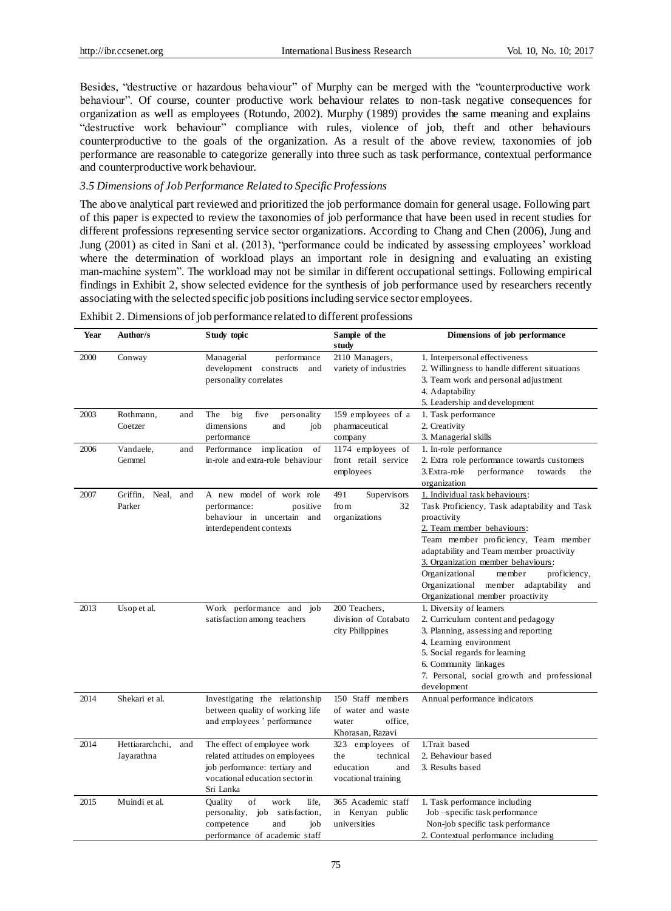Besides, "destructive or hazardous behaviour" of Murphy can be merged with the "counterproductive work behaviour". Of course, counter productive work behaviour relates to non-task negative consequences for organization as well as employees (Rotundo, 2002). Murphy (1989) provides the same meaning and explains "destructive work behaviour" compliance with rules, violence of job, theft and other behaviours counterproductive to the goals of the organization. As a result of the above review, taxonomies of job performance are reasonable to categorize generally into three such as task performance, contextual performance and counterproductive work behaviour.

# *3.5 Dimensions of Job Performance Related to Specific Professions*

The above analytical part reviewed and prioritized the job performance domain for general usage. Following part of this paper is expected to review the taxonomies of job performance that have been used in recent studies for different professions representing service sector organizations. According to Chang and Chen (2006), Jung and Jung (2001) as cited in Sani et al. (2013), "performance could be indicated by assessing employees' workload where the determination of workload plays an important role in designing and evaluating an existing man-machine system". The workload may not be similar in different occupational settings. Following empirical findings in Exhibit 2, show selected evidence for the synthesis of job performance used by researchers recently associating with the selected specific job positions including service sector employees.

| Year | Author/s                             | Study topic                                                                                                                                   | Sample of the<br>study                                                                | Dimensions of job performance                                                                                                                                                                                                                                                                                                                                                       |
|------|--------------------------------------|-----------------------------------------------------------------------------------------------------------------------------------------------|---------------------------------------------------------------------------------------|-------------------------------------------------------------------------------------------------------------------------------------------------------------------------------------------------------------------------------------------------------------------------------------------------------------------------------------------------------------------------------------|
| 2000 | Conway                               | Managerial<br>performance<br>development constructs<br>and<br>personality correlates                                                          | 2110 Managers,<br>variety of industries                                               | 1. Interpersonal effectiveness<br>2. Willingness to handle different situations<br>3. Team work and personal adjustment<br>4. Adaptability<br>5. Leadership and development                                                                                                                                                                                                         |
| 2003 | Rothmann,<br>and<br>Coetzer          | The<br>big<br>five<br>personality<br>dimensions<br>and<br>job<br>performance                                                                  | 159 employees of a<br>pharmaceutical<br>company                                       | 1. Task performance<br>2. Creativity<br>3. Managerial skills                                                                                                                                                                                                                                                                                                                        |
| 2006 | Vandaele,<br>and<br>Gemmel           | implication<br>Performance<br>of<br>in-role and extra-role behaviour                                                                          | 1174 employees of<br>front retail service<br>employees                                | 1. In-role performance<br>2. Extra role performance towards customers<br>3. Extra-role<br>performance<br>towards<br>the<br>organization                                                                                                                                                                                                                                             |
| 2007 | Griffin,<br>Neal,<br>and<br>Parker   | A new model of work role<br>performance:<br>positive<br>behaviour in uncertain and<br>interdependent contexts                                 | 491<br>Supervisors<br>from<br>32<br>organizations                                     | 1. Individual task behaviours:<br>Task Proficiency, Task adaptability and Task<br>proactivity<br>2. Team member behaviours:<br>Team member proficiency, Team member<br>adaptability and Team member proactivity<br>3. Organization member behaviours:<br>Organizational<br>member<br>proficiency,<br>Organizational member adaptability<br>and<br>Organizational member proactivity |
| 2013 | Usop et al.                          | Work performance and job<br>satisfaction among teachers                                                                                       | 200 Teachers,<br>division of Cotabato<br>city Philippines                             | 1. Diversity of learners<br>2. Curriculum content and pedagogy<br>3. Planning, assessing and reporting<br>4. Learning environment<br>5. Social regards for learning<br>6. Community linkages<br>7. Personal, social growth and professional<br>development                                                                                                                          |
| 2014 | Shekari et al.                       | Investigating the relationship<br>between quality of working life<br>and employees ' performance                                              | 150 Staff members<br>of water and waste<br>water<br>office,<br>Khorasan, Razavi       | Annual performance indicators                                                                                                                                                                                                                                                                                                                                                       |
| 2014 | Hettiararchchi.<br>and<br>Jayarathna | The effect of employee work<br>related attitudes on employees<br>job performance: tertiary and<br>vocational education sector in<br>Sri Lanka | 323<br>employees<br>of<br>the<br>technical<br>education<br>and<br>vocational training | 1.Trait based<br>2. Behaviour based<br>3. Results based                                                                                                                                                                                                                                                                                                                             |
| 2015 | Muindi et al.                        | of<br>work<br>life.<br>Ouality<br>personality, job<br>satisfaction,<br>competence<br>and<br>job<br>performance of academic staff              | 365 Academic staff<br>Kenyan public<br>in<br>universities                             | 1. Task performance including<br>Job -specific task performance<br>Non-job specific task performance<br>2. Contextual performance including                                                                                                                                                                                                                                         |

Exhibit 2. Dimensions of job performance related to different professions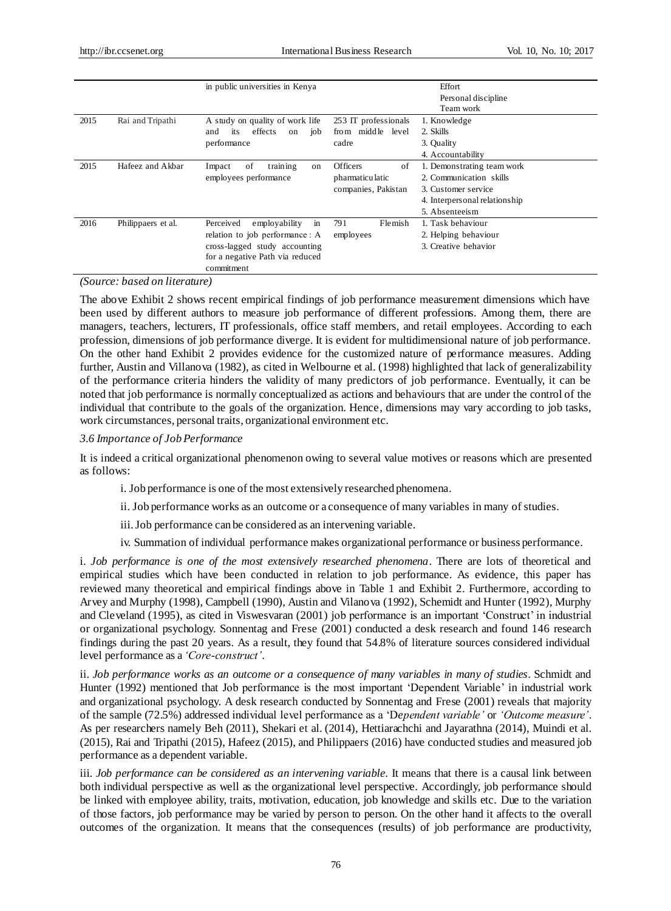|      |                    | in public universities in Kenya                                                                                                                      |                                                                 | Effort<br>Personal discipline<br>Team work                                                                                      |
|------|--------------------|------------------------------------------------------------------------------------------------------------------------------------------------------|-----------------------------------------------------------------|---------------------------------------------------------------------------------------------------------------------------------|
| 2015 | Rai and Tripathi   | A study on quality of work life<br>effects<br>and<br>job<br>its<br>on<br>performance                                                                 | 253 IT professionals<br>from middle level<br>cadre              | 1. Knowledge<br>2. Skills<br>3. Quality<br>4. Accountability                                                                    |
| 2015 | Hafeez and Akbar   | training<br>of<br>Impact<br>on<br>employees performance                                                                                              | <b>Officers</b><br>οf<br>pharmaticulatic<br>companies, Pakistan | 1. Demonstrating team work<br>2. Communication skills<br>3. Customer service<br>4. Interpersonal relationship<br>5. Absenteeism |
| 2016 | Philippaers et al. | Perceived<br>employability<br>in<br>relation to job performance: A<br>cross-lagged study accounting<br>for a negative Path via reduced<br>commitment | 791<br>Flemish<br>employees                                     | 1. Task behaviour<br>2. Helping behaviour<br>3. Creative behavior                                                               |

*(Source: based on literature)*

The above Exhibit 2 shows recent empirical findings of job performance measurement dimensions which have been used by different authors to measure job performance of different professions. Among them, there are managers, teachers, lecturers, IT professionals, office staff members, and retail employees. According to each profession, dimensions of job performance diverge. It is evident for multidimensional nature of job performance. On the other hand Exhibit 2 provides evidence for the customized nature of performance measures. Adding further, Austin and Villanova (1982), as cited in Welbourne et al. (1998) highlighted that lack of generalizability of the performance criteria hinders the validity of many predictors of job performance. Eventually, it can be noted that job performance is normally conceptualized as actions and behaviours that are under the control of the individual that contribute to the goals of the organization. Hence, dimensions may vary according to job tasks, work circumstances, personal traits, organizational environment etc.

#### *3.6 Importance of Job Performance*

It is indeed a critical organizational phenomenon owing to several value motives or reasons which are presented as follows:

- i. Job performance is one of the most extensively researched phenomena.
- ii. Job performance works as an outcome or a consequence of many variables in many of studies.
- iii. Job performance can be considered as an intervening variable.
- iv. Summation of individual performance makes organizational performance or business performance.

i. *Job performance is one of the most extensively researched phenomena*. There are lots of theoretical and empirical studies which have been conducted in relation to job performance. As evidence, this paper has reviewed many theoretical and empirical findings above in Table 1 and Exhibit 2. Furthermore, according to Arvey and Murphy (1998), Campbell (1990), Austin and Vilanova (1992), Schemidt and Hunter (1992), Murphy and Cleveland (1995), as cited in Viswesvaran (2001) job performance is an important 'Construct' in industrial or organizational psychology. Sonnentag and Frese (2001) conducted a desk research and found 146 research findings during the past 20 years. As a result, they found that 54.8% of literature sources considered individual level performance as a *'Core-construct'*.

ii. *Job performance works as an outcome or a consequence of many variables in many of studies*. Schmidt and Hunter (1992) mentioned that Job performance is the most important 'Dependent Variable' in industrial work and organizational psychology. A desk research conducted by Sonnentag and Frese (2001) reveals that majority of the sample (72.5%) addressed individual level performance as a 'D*ependent variable'* or *'Outcome measure'*. As per researchers namely Beh (2011), Shekari et al. (2014), Hettiarachchi and Jayarathna (2014), Muindi et al. (2015), Rai and Tripathi (2015), Hafeez (2015), and Philippaers (2016) have conducted studies and measured job performance as a dependent variable.

iii*. Job performance can be considered as an intervening variable.* It means that there is a causal link between both individual perspective as well as the organizational level perspective. Accordingly, job performance should be linked with employee ability, traits, motivation, education, job knowledge and skills etc. Due to the variation of those factors, job performance may be varied by person to person. On the other hand it affects to the overall outcomes of the organization. It means that the consequences (results) of job performance are productivity,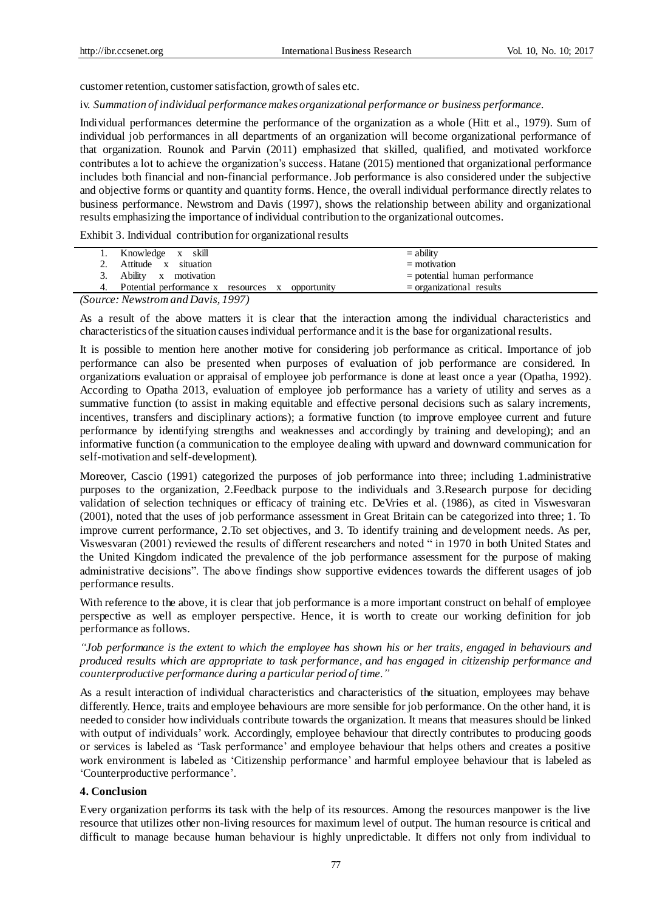customer retention, customer satisfaction, growth of sales etc.

#### iv. *Summation of individual performance makes organizational performance or business performance.*

Individual performances determine the performance of the organization as a whole (Hitt et al., 1979). Sum of individual job performances in all departments of an organization will become organizational performance of that organization. Rounok and Parvin (2011) emphasized that skilled, qualified, and motivated workforce contributes a lot to achieve the organization's success. Hatane (2015) mentioned that organizational performance includes both financial and non-financial performance. Job performance is also considered under the subjective and objective forms or quantity and quantity forms. Hence, the overall individual performance directly relates to business performance. Newstrom and Davis (1997), shows the relationship between ability and organizational results emphasizing the importance of individual contribution to the organizational outcomes.

Exhibit 3. Individual contribution for organizational results

|                                    | 1. Knowledge x skill                   |  |  |             | $=$ ability                     |  |  |
|------------------------------------|----------------------------------------|--|--|-------------|---------------------------------|--|--|
|                                    | 2. Attitude x situation                |  |  |             | $=$ motivation                  |  |  |
|                                    | 3. Ability x motivation                |  |  |             | $=$ potential human performance |  |  |
|                                    | 4. Potential performance x resources x |  |  | opportunity | $=$ organizational results      |  |  |
| (Source: Newstrom and Davis, 1997) |                                        |  |  |             |                                 |  |  |

As a result of the above matters it is clear that the interaction among the individual characteristics and characteristics of the situation causes individual performance and it is the base for organizational results.

It is possible to mention here another motive for considering job performance as critical. Importance of job performance can also be presented when purposes of evaluation of job performance are considered. In organizations evaluation or appraisal of employee job performance is done at least once a year (Opatha, 1992). According to Opatha 2013, evaluation of employee job performance has a variety of utility and serves as a summative function (to assist in making equitable and effective personal decisions such as salary increments, incentives, transfers and disciplinary actions); a formative function (to improve employee current and future performance by identifying strengths and weaknesses and accordingly by training and developing); and an informative function (a communication to the employee dealing with upward and downward communication for self-motivation and self-development).

Moreover, Cascio (1991) categorized the purposes of job performance into three; including 1.administrative purposes to the organization, 2.Feedback purpose to the individuals and 3.Research purpose for deciding validation of selection techniques or efficacy of training etc. DeVries et al. (1986), as cited in Viswesvaran (2001), noted that the uses of job performance assessment in Great Britain can be categorized into three; 1. To improve current performance, 2.To set objectives, and 3. To identify training and development needs. As per, Viswesvaran (2001) reviewed the results of different researchers and noted " in 1970 in both United States and the United Kingdom indicated the prevalence of the job performance assessment for the purpose of making administrative decisions". The above findings show supportive evidences towards the different usages of job performance results.

With reference to the above, it is clear that job performance is a more important construct on behalf of employee perspective as well as employer perspective. Hence, it is worth to create our working definition for job performance as follows.

*"Job performance is the extent to which the employee has shown his or her traits, engaged in behaviours and produced results which are appropriate to task performance, and has engaged in citizenship performance and counterproductive performance during a particular period of time."*

As a result interaction of individual characteristics and characteristics of the situation, employees may behave differently. Hence, traits and employee behaviours are more sensible for job performance. On the other hand, it is needed to consider how individuals contribute towards the organization. It means that measures should be linked with output of individuals' work. Accordingly, employee behaviour that directly contributes to producing goods or services is labeled as 'Task performance' and employee behaviour that helps others and creates a positive work environment is labeled as 'Citizenship performance' and harmful employee behaviour that is labeled as 'Counterproductive performance'.

#### **4. Conclusion**

Every organization performs its task with the help of its resources. Among the resources manpower is the live resource that utilizes other non-living resources for maximum level of output. The human resource is critical and difficult to manage because human behaviour is highly unpredictable. It differs not only from individual to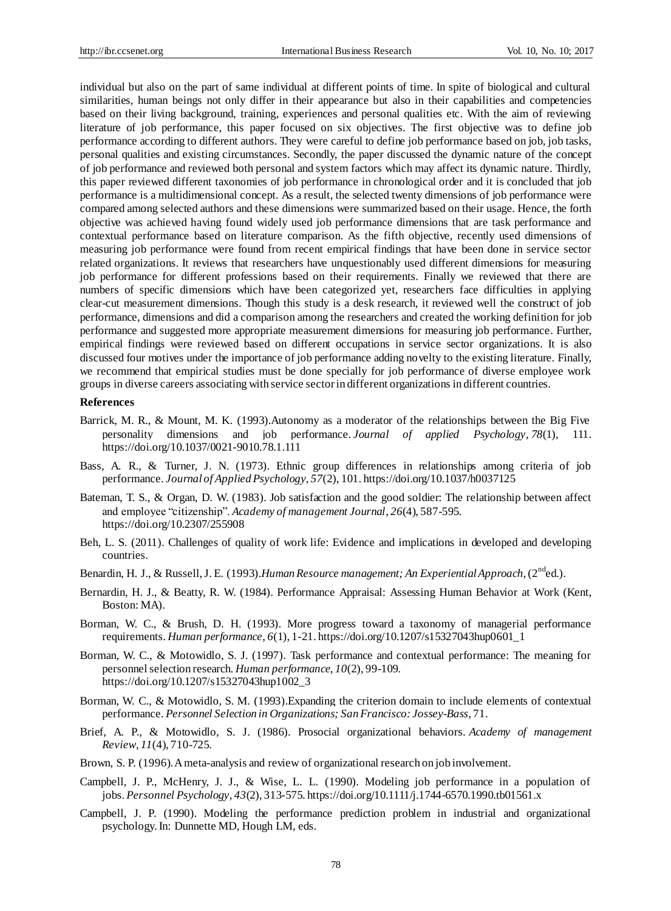individual but also on the part of same individual at different points of time. In spite of biological and cultural similarities, human beings not only differ in their appearance but also in their capabilities and competencies based on their living background, training, experiences and personal qualities etc. With the aim of reviewing literature of job performance, this paper focused on six objectives. The first objective was to define job performance according to different authors. They were careful to define job performance based on job, job tasks, personal qualities and existing circumstances. Secondly, the paper discussed the dynamic nature of the concept of job performance and reviewed both personal and system factors which may affect its dynamic nature. Thirdly, this paper reviewed different taxonomies of job performance in chronological order and it is concluded that job performance is a multidimensional concept. As a result, the selected twenty dimensions of job performance were compared among selected authors and these dimensions were summarized based on their usage. Hence, the forth objective was achieved having found widely used job performance dimensions that are task performance and contextual performance based on literature comparison. As the fifth objective, recently used dimensions of measuring job performance were found from recent empirical findings that have been done in service sector related organizations. It reviews that researchers have unquestionably used different dimensions for measuring job performance for different professions based on their requirements. Finally we reviewed that there are numbers of specific dimensions which have been categorized yet, researchers face difficulties in applying clear-cut measurement dimensions. Though this study is a desk research, it reviewed well the construct of job performance, dimensions and did a comparison among the researchers and created the working definition for job performance and suggested more appropriate measurement dimensions for measuring job performance. Further, empirical findings were reviewed based on different occupations in service sector organizations. It is also discussed four motives under the importance of job performance adding novelty to the existing literature. Finally, we recommend that empirical studies must be done specially for job performance of diverse employee work groups in diverse careers associating with service sector in different organizations in different countries.

#### **References**

- Barrick, M. R., & Mount, M. K. (1993).Autonomy as a moderator of the relationships between the Big Five personality dimensions and job performance. *Journal of applied Psychology*, *78*(1), 111. https://doi.org/10.1037/0021-9010.78.1.111
- Bass, A. R., & Turner, J. N. (1973). Ethnic group differences in relationships among criteria of job performance. *Journal of Applied Psychology*, *57*(2), 101. https://doi.org/10.1037/h0037125
- Bateman, T. S., & Organ, D. W. (1983). Job satisfaction and the good soldier: The relationship between affect and employee "citizenship". *Academy of management Journal*, *26*(4), 587-595. https://doi.org/10.2307/255908
- Beh, L. S. (2011). Challenges of quality of work life: Evidence and implications in developed and developing countries.
- Benardin, H. J., & Russell, J. E. (1993).*Human Resource management; An Experiential Approach*, (2<sup>nd</sup>ed.).
- Bernardin, H. J., & Beatty, R. W. (1984). Performance Appraisal: Assessing Human Behavior at Work (Kent, Boston: MA).
- Borman, W. C., & Brush, D. H. (1993). More progress toward a taxonomy of managerial performance requirements. *Human performance*, *6*(1), 1-21. https://doi.org/10.1207/s15327043hup0601\_1
- Borman, W. C., & Motowidlo, S. J. (1997). Task performance and contextual performance: The meaning for personnel selection research. *Human performance*, *10*(2), 99-109. https://doi.org/10.1207/s15327043hup1002\_3
- Borman, W. C., & Motowidlo, S. M. (1993).Expanding the criterion domain to include elements of contextual performance. *Personnel Selection in Organizations; San Francisco: Jossey-Bass*, 71.
- Brief, A. P., & Motowidlo, S. J. (1986). Prosocial organizational behaviors. *Academy of management Review*, *11*(4), 710-725.
- Brown, S. P. (1996). A meta-analysis and review of organizational research on job involvement.
- Campbell, J. P., McHenry, J. J., & Wise, L. L. (1990). Modeling job performance in a population of jobs. *Personnel Psychology*, *43*(2), 313-575. https://doi.org/10.1111/j.1744-6570.1990.tb01561.x
- Campbell, J. P. (1990). Modeling the performance prediction problem in industrial and organizational psychology. In: Dunnette MD, Hough LM, eds.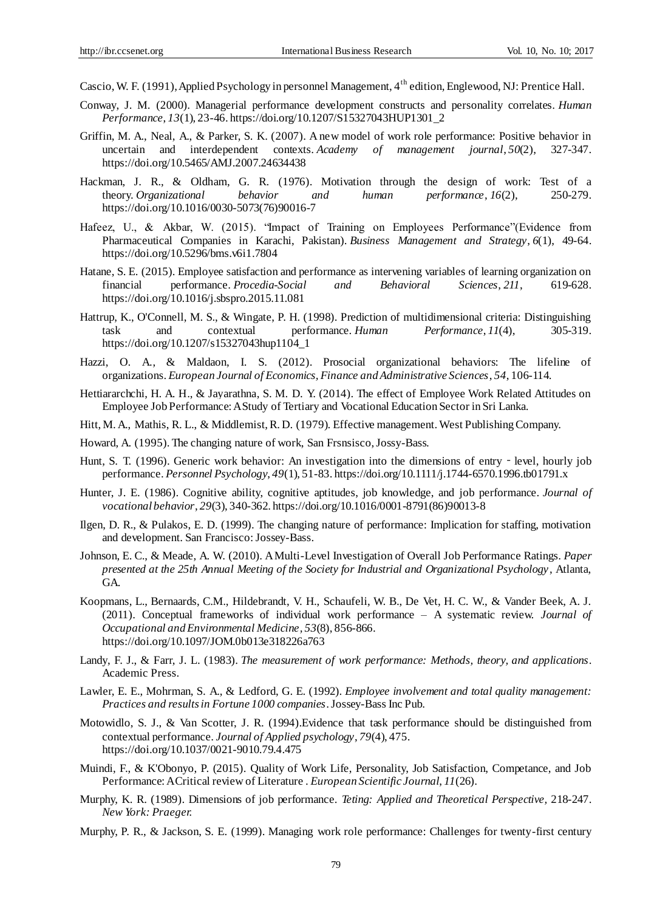Cascio, W. F. (1991), Applied Psychology in personnel Management, 4<sup>th</sup> edition, Englewood, NJ: Prentice Hall.

- Conway, J. M. (2000). Managerial performance development constructs and personality correlates. *Human Performance*, *13*(1), 23-46. https://doi.org/10.1207/S15327043HUP1301\_2
- Griffin, M. A., Neal, A., & Parker, S. K. (2007). A new model of work role performance: Positive behavior in uncertain and interdependent contexts. *Academy of management journal*, *50*(2), 327-347. https://doi.org/10.5465/AMJ.2007.24634438
- Hackman, J. R., & Oldham, G. R. (1976). Motivation through the design of work: Test of a theory. *Organizational behavior and human performance*, *16*(2), 250-279. https://doi.org/10.1016/0030-5073(76)90016-7
- Hafeez, U., & Akbar, W. (2015). "Impact of Training on Employees Performance"(Evidence from Pharmaceutical Companies in Karachi, Pakistan). *Business Management and Strategy*, *6*(1), 49-64. https://doi.org/10.5296/bms.v6i1.7804
- Hatane, S. E. (2015). Employee satisfaction and performance as intervening variables of learning organization on financial performance. *Procedia-Social and Behavioral Sciences*, *211*, 619-628. https://doi.org/10.1016/j.sbspro.2015.11.081
- Hattrup, K., O'Connell, M. S., & Wingate, P. H. (1998). Prediction of multidimensional criteria: Distinguishing task and contextual performance. *Human Performance*, *11*(4), 305-319. https://doi.org/10.1207/s15327043hup1104\_1
- Hazzi, O. A., & Maldaon, I. S. (2012). Prosocial organizational behaviors: The lifeline of organizations. *European Journal of Economics, Finance and Administrative Sciences*, *54*, 106-114.
- Hettiararchchi, H. A. H., & Jayarathna, S. M. D. Y. (2014). The effect of Employee Work Related Attitudes on Employee Job Performance: A Study of Tertiary and Vocational Education Sector in Sri Lanka.
- Hitt, M. A., Mathis, R. L., & Middlemist, R. D. (1979). Effective management. West Publishing Company.
- Howard, A. (1995). The changing nature of work, San Frsnsisco, Jossy-Bass.
- Hunt, S. T. (1996). Generic work behavior: An investigation into the dimensions of entry level, hourly job performance. *Personnel Psychology*, *49*(1), 51-83. https://doi.org/10.1111/j.1744-6570.1996.tb01791.x
- Hunter, J. E. (1986). Cognitive ability, cognitive aptitudes, job knowledge, and job performance. *Journal of vocational behavior*, *29*(3), 340-362. https://doi.org/10.1016/0001-8791(86)90013-8
- Ilgen, D. R., & Pulakos, E. D. (1999). The changing nature of performance: Implication for staffing, motivation and development. San Francisco: Jossey-Bass.
- Johnson, E. C., & Meade, A. W. (2010). A Multi-Level Investigation of Overall Job Performance Ratings. *Paper presented at the 25th Annual Meeting of the Society for Industrial and Organizational Psychology* , Atlanta, GA.
- Koopmans, L., Bernaards, C.M., Hildebrandt, V. H., Schaufeli, W. B., De Vet, H. C. W., & Vander Beek, A. J. (2011). Conceptual frameworks of individual work performance – A systematic review. *Journal of Occupational and Environmental Medicine, 53*(8), 856-866. https://doi.org/10.1097/JOM.0b013e318226a763
- Landy, F. J., & Farr, J. L. (1983). *The measurement of work performance: Methods, theory, and applications*. Academic Press.
- Lawler, E. E., Mohrman, S. A., & Ledford, G. E. (1992). *Employee involvement and total quality management: Practices and results in Fortune 1000 companies*. Jossey-Bass Inc Pub.
- Motowidlo, S. J., & Van Scotter, J. R. (1994).Evidence that task performance should be distinguished from contextual performance. *Journal of Applied psychology*, *79*(4), 475. https://doi.org/10.1037/0021-9010.79.4.475
- Muindi, F., & K'Obonyo, P. (2015). Quality of Work Life, Personality, Job Satisfaction, Competance, and Job Performance: A Critical review of Literature . *European Scientific Journal*, *11*(26).
- Murphy, K. R. (1989). Dimensions of job performance. *Teting: Applied and Theoretical Perspective,* 218-247. *New York: Praeger.*
- Murphy, P. R., & Jackson, S. E. (1999). Managing work role performance: Challenges for twenty-first century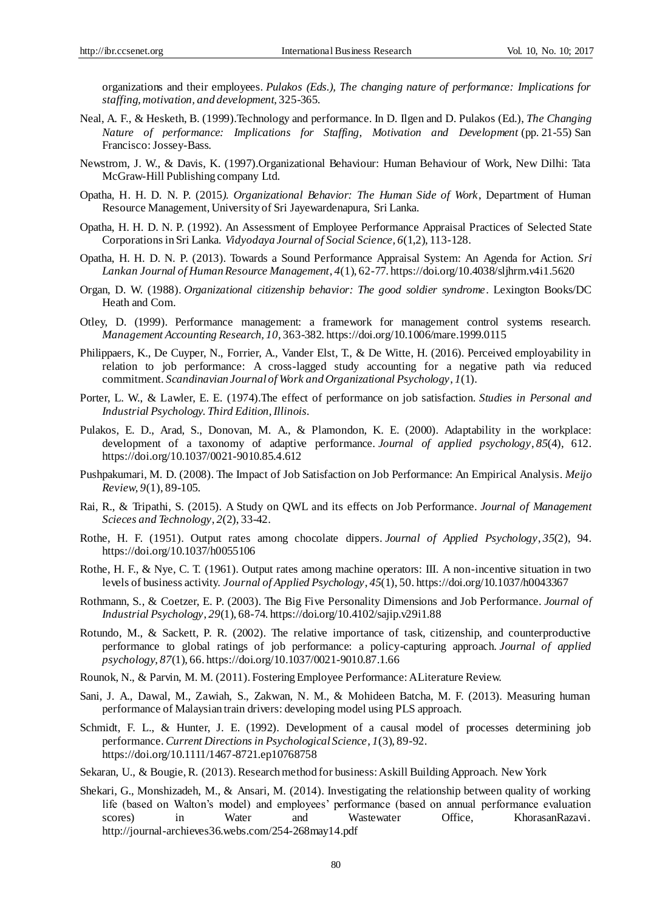organizations and their employees. *Pulakos (Eds.), The changing nature of performance: Implications for staffing, motivation, and development*, 325-365.

- Neal, A. F., & Hesketh, B. (1999).Technology and performance. In D. Ilgen and D. Pulakos (Ed.), *The Changing Nature of performance: Implications for Staffing, Motivation and Development* (pp. 21-55) San Francisco:Jossey-Bass.
- Newstrom, J. W., & Davis, K. (1997).Organizational Behaviour: Human Behaviour of Work, New Dilhi: Tata McGraw-Hill Publishing company Ltd.
- Opatha, H. H. D. N. P. (2015*). Organizational Behavior: The Human Side of Work*, Department of Human Resource Management, University of Sri Jayewardenapura, Sri Lanka.
- Opatha, H. H. D. N. P. (1992). An Assessment of Employee Performance Appraisal Practices of Selected State Corporations in Sri Lanka. *Vidyodaya Journal of Social Science, 6*(1,2), 113-128.
- Opatha, H. H. D. N. P. (2013). Towards a Sound Performance Appraisal System: An Agenda for Action. *Sri Lankan Journal of Human Resource Management*, *4*(1), 62-77. https://doi.org/10.4038/sljhrm.v4i1.5620
- Organ, D. W. (1988). *Organizational citizenship behavior: The good soldier syndrome*. Lexington Books/DC Heath and Com.
- Otley, D. (1999). Performance management: a framework for management control systems research. *Management Accounting Research, 10,* 363-382. https://doi.org/10.1006/mare.1999.0115
- Philippaers, K., De Cuyper, N., Forrier, A., Vander Elst, T., & De Witte, H. (2016). Perceived employability in relation to job performance: A cross-lagged study accounting for a negative path via reduced commitment. *Scandinavian Journal of Work and Organizational Psychology*, *1*(1).
- Porter, L. W., & Lawler, E. E. (1974).The effect of performance on job satisfaction. *Studies in Personal and Industrial Psychology. Third Edition, Illinois*.
- Pulakos, E. D., Arad, S., Donovan, M. A., & Plamondon, K. E. (2000). Adaptability in the workplace: development of a taxonomy of adaptive performance. *Journal of applied psychology*, *85*(4), 612. https://doi.org/10.1037/0021-9010.85.4.612
- Pushpakumari, M. D. (2008). The Impact of Job Satisfaction on Job Performance: An Empirical Analysis. *Meijo Review, 9*(1), 89-105.
- Rai, R., & Tripathi, S. (2015). A Study on QWL and its effects on Job Performance. *Journal of Management Scieces and Technology*, *2*(2), 33-42.
- Rothe, H. F. (1951). Output rates among chocolate dippers. *Journal of Applied Psychology*, *35*(2), 94. https://doi.org/10.1037/h0055106
- Rothe, H. F., & Nye, C. T. (1961). Output rates among machine operators: III. A non-incentive situation in two levels of business activity. *Journal of Applied Psychology*, *45*(1), 50. https://doi.org/10.1037/h0043367
- Rothmann, S., & Coetzer, E. P. (2003). The Big Five Personality Dimensions and Job Performance. *Journal of Industrial Psychology*, *29*(1), 68-74. https://doi.org/10.4102/sajip.v29i1.88
- Rotundo, M., & Sackett, P. R. (2002). The relative importance of task, citizenship, and counterproductive performance to global ratings of job performance: a policy-capturing approach. *Journal of applied psychology*, *87*(1), 66. https://doi.org/10.1037/0021-9010.87.1.66
- Rounok, N., & Parvin, M. M. (2011). Fostering Employee Performance: A Literature Review.
- Sani, J. A., Dawal, M., Zawiah, S., Zakwan, N. M., & Mohideen Batcha, M. F. (2013). Measuring human performance of Malaysian train drivers: developing model using PLS approach.
- Schmidt, F. L., & Hunter, J. E. (1992). Development of a causal model of processes determining job performance. *Current Directions in Psychological Science*, *1*(3), 89-92. https://doi.org/10.1111/1467-8721.ep10768758
- Sekaran, U., & Bougie, R. (2013). Research method for business: A skill Building Approach. New York
- Shekari, G., Monshizadeh, M., & Ansari, M. (2014). Investigating the relationship between quality of working life (based on Walton's model) and employees' performance (based on annual performance evaluation scores) in Water and Wastewater Office, KhorasanRazavi. <http://journal-archieves36.webs.com/254-268may14.pdf>